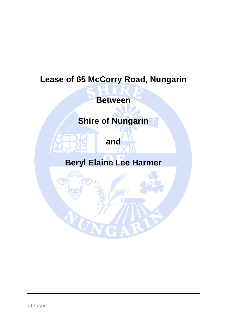# **Lease of 65 McCorry Road, Nungarin**

# **Between**

# **Shire of Nungarin**

**and**

# **Beryl Elaine Lee Harmer**

W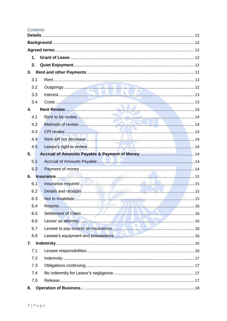# Contents

| 1.  |                    |  |
|-----|--------------------|--|
| 2.  |                    |  |
| 3.  |                    |  |
| 3.1 |                    |  |
| 3.2 |                    |  |
| 3.3 |                    |  |
| 3.4 |                    |  |
| 4.  |                    |  |
| 4.1 |                    |  |
| 4.2 |                    |  |
| 4.3 |                    |  |
| 4.4 |                    |  |
| 4.5 |                    |  |
| 5.  |                    |  |
| 5.1 |                    |  |
| 5.2 |                    |  |
| 6.  |                    |  |
| 6.1 | Insurance required |  |
| 6.2 |                    |  |
| 6.3 | Not to invalidate. |  |
| 6.4 | $\sim$<br>------   |  |
| 6.5 |                    |  |
| 6.6 |                    |  |
| 6.7 |                    |  |
| 6.8 |                    |  |
| 7.  |                    |  |
| 7.1 |                    |  |
| 7.2 |                    |  |
| 7.3 |                    |  |
| 7.4 |                    |  |
| 7.5 |                    |  |
| 8.  |                    |  |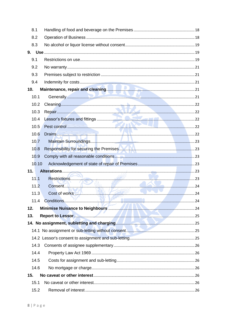| 8.1   |            |  |
|-------|------------|--|
| 8.2   |            |  |
| 8.3   |            |  |
| 9.    |            |  |
| 9.1   |            |  |
| 9.2   |            |  |
| 9.3   |            |  |
| 9.4   |            |  |
| 10.   |            |  |
| 10.1  |            |  |
| 10.2  |            |  |
| 10.3  |            |  |
| 10.4  |            |  |
| 10.5  |            |  |
| 10.6  |            |  |
| 10.7  |            |  |
| 10.8  |            |  |
| 10.9  |            |  |
| 10.10 |            |  |
| 11.   |            |  |
| 11.1  |            |  |
| 11.2  | Consent 24 |  |
| 11.3  |            |  |
|       |            |  |
| 12.   |            |  |
| 13.   |            |  |
|       |            |  |
|       |            |  |
|       |            |  |
| 14.3  |            |  |
| 14.4  |            |  |
| 14.5  |            |  |
| 14.6  |            |  |
| 15.   |            |  |
| 15.1  |            |  |
| 15.2  |            |  |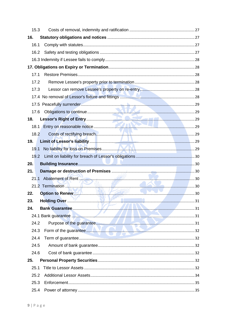| 15.3 |                    |  |
|------|--------------------|--|
| 16.  |                    |  |
| 16.1 |                    |  |
| 16.2 |                    |  |
|      |                    |  |
|      |                    |  |
| 17.1 |                    |  |
| 17.2 |                    |  |
| 17.3 |                    |  |
|      |                    |  |
|      |                    |  |
| 17.6 |                    |  |
| 18.  |                    |  |
| 18.1 |                    |  |
| 18.2 |                    |  |
| 19.  |                    |  |
| 19.1 |                    |  |
| 19.2 |                    |  |
|      |                    |  |
| 20.  |                    |  |
| 21.  |                    |  |
| 21.1 |                    |  |
|      |                    |  |
| 22.  | Option to Renew 30 |  |
| 23.  |                    |  |
| 24.  |                    |  |
|      |                    |  |
| 24.2 |                    |  |
| 24.3 |                    |  |
| 24.4 |                    |  |
| 24.5 |                    |  |
| 24.6 |                    |  |
| 25.  |                    |  |
| 25.1 |                    |  |
| 25.2 |                    |  |
| 25.3 |                    |  |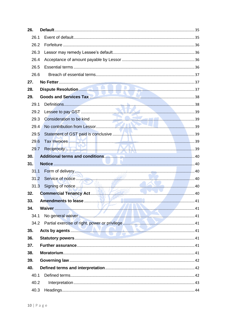| 26.  |                                                                                   |  |
|------|-----------------------------------------------------------------------------------|--|
| 26.1 |                                                                                   |  |
| 26.2 |                                                                                   |  |
| 26.3 |                                                                                   |  |
| 26.4 |                                                                                   |  |
| 26.5 |                                                                                   |  |
| 26.6 |                                                                                   |  |
| 27.  |                                                                                   |  |
| 28.  | Dispute Resolution                                                                |  |
| 29.  |                                                                                   |  |
| 29.1 |                                                                                   |  |
| 29.2 |                                                                                   |  |
| 29.3 |                                                                                   |  |
| 29.4 |                                                                                   |  |
| 29.5 |                                                                                   |  |
| 29.6 |                                                                                   |  |
| 29.7 |                                                                                   |  |
| 30.  | Additional terms and conditions. 2008. The Continuum of the Additional Leonard 40 |  |
| 31.  |                                                                                   |  |
| 31.1 |                                                                                   |  |
| 31.2 |                                                                                   |  |
| 31.3 | Signing of notice 1.1 40                                                          |  |
| 32.  |                                                                                   |  |
| 33.  |                                                                                   |  |
| 34.  |                                                                                   |  |
| 34.1 |                                                                                   |  |
| 34.2 |                                                                                   |  |
| 35.  | Acts by agents 41                                                                 |  |
| 36.  |                                                                                   |  |
| 37.  |                                                                                   |  |
| 38.  |                                                                                   |  |
| 39.  |                                                                                   |  |
| 40.  |                                                                                   |  |
| 40.1 |                                                                                   |  |
| 40.2 |                                                                                   |  |
| 40.3 |                                                                                   |  |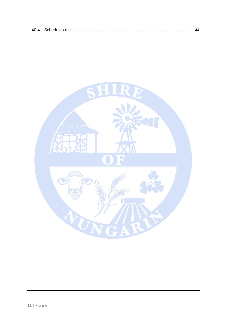| 40.4 |  |  |
|------|--|--|
|------|--|--|

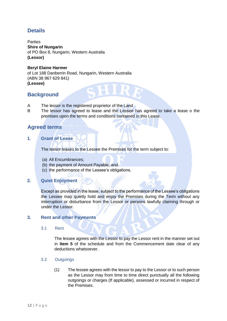# <span id="page-6-0"></span>**Details**

**Parties Shire of Nungarin** of PO Box 8, Nungarin, Western Australia **(Lessor)**

# **Beryl Elaine Harmer** of Lot 188 Danberrin Road, Nungarin, Western Australia (ABN 38 967 629 841) **(Lessee)**

# <span id="page-6-1"></span>**Background**

- A The lessor is the registered proprietor of the Land
- B The lessor has agreed to lease and the Lessee has agreed to take a lease o the premises upon the terms and conditions contained in this Lease.

# <span id="page-6-2"></span>**Agreed terms**

<span id="page-6-3"></span>**1. Grant of Lease**

The lessor leases to the Lessee the Premises for the term subject to:

- (a) All Encumbrances;
- (b) the payment of Amount Payable; and
- (c) the performance of the Lessee's obligations.

# <span id="page-6-4"></span>**2. Quiet Enjoyment**

Except as provided in the lease, subject to the performance of the Lessee's obligations the Lessee may quietly hold and enjoy the Premises during the Term without any interruption or disturbance from the Lessor or persons lawfully claiming through or under the Lessor.

# <span id="page-6-6"></span><span id="page-6-5"></span>**3. Rent and other Payments**

3.1 Rent

The lessee agrees with the Lessor to pay the Lessor rent in the manner set out in **Item 5** of the schedule and from the Commencement date clear of any deductions whatsoever.

- <span id="page-6-7"></span>3.2 Outgoings
	- (1) The lessee agrees with the lessor to pay to the Lessor or to such person as the Lessor may from time to time direct punctually all the following outgoings or charges (If applicable), assessed or incurred in respect of the Premises.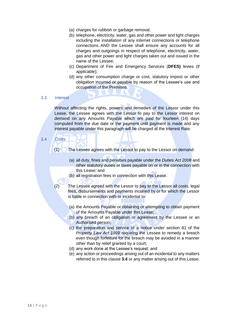- (a) charges for rubbish or garbage removal;
- (b) telephone, electricity, water, gas and other power and light charges including the installation of any internet connections or telephone connections AND the Lessee shall ensure any accounts for all charges and outgoings in respect of telephone, electricity, water, gas and other power and light charges taken out and issued in the name of the Lessee;
- (c) Department of Fire and Emergency Services (**DFES)** levies (if applicable);
- (d) any other consumption charge or cost, statutory impost or other obligation incurred or payable by reason of the Lessee's use and occupation of the Premises.

#### <span id="page-7-0"></span>3.3 Interest

Without affecting the rights, powers and remedies of the Lessor under this Lease, the Lessee agrees with the Lessor to pay to the Lessor interest on demand on any Amounts Payable which are paid for fourteen (14) days computed from the due date or the payment until payment is made and any interest payable under this paragraph will be charged at the Interest Rate.

# <span id="page-7-1"></span>3.4 Costs

(1) The Lessee agrees with the Lessor to pay to the Lessor on demand:

- (a) all duty, fines and penalties payable under the *Duties Act 2008* and other statutory duties or taxes payable on or in the connection with this Lease; and
- (b) all registration fees in connection with this Lease.
- (2) The Lessee agreed with the Lessor to pay to the Lessor all costs, legal fees, disbursements and payments incurred by or for which the Lessor is liable in connection with or incidental to:
	- (a) the Amounts Payable or obtaining or attempting to obtain payment of the Amounts Payable under this Lease;
	- (b) any breach of an obligation or agreement by the Lessee or an Authorised person;
	- (c) the preparation and service of a notice under section 81 of the *Property Law Act 1969* requiring the Lessee to remedy a breach even though forfeiture for the breach may be avoided in a manner other than by relief granted by a court;
	- (d) any work done at the Lessee's request; and
	- (e) any action or proceedings arising out of an incidental to any matters referred to in this clause **3.4** or any matter arising out of this Lease.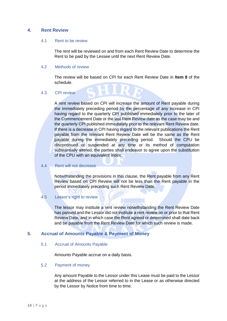# <span id="page-8-1"></span><span id="page-8-0"></span>**4. Rent Review**

# 4.1 Rent to be review

The rent will be reviewed on and from each Rent Review Date to determine the Rent to be paid by the Lessee until the next Rent Review Date.

#### <span id="page-8-2"></span>4.2 Methods of review

The review will be based on CPI for each Rent Review Date in **Item 8** of the schedule.

#### <span id="page-8-3"></span>4.3 CPI review

A rent review based on CPI will increase the amount of Rent payable during the immediately preceding period by the percentage of any increase in CPI having regard to the quarterly CPI published immediately prior to the later of the Commencement Date or the last Rent Review date as the case may be and the quarterly CPI published immediately prior to the relevant Rent Review date. If there is a decrease in CPI having regard to the relevant publications the Rent payable from the relevant Rent Review Date will be the same as the Rent payable during the immediately preceding period. Should the CPU be discontinued or suspended at any time or its method of computation substantially altered, the parties shall endeavor to agree upon the substitution of the CPU with an equivalent index.

# <span id="page-8-4"></span>4.4 Rent will not decrease

Notwithstanding the provisions in this clause, the Rent payable from any Rent Review based on CPI Review will not be less than the Rent payable in the period immediately preceding such Rent Review Date.

# <span id="page-8-5"></span>4.5 Lessor's right to review

The lessor may institute a rent review notwithstanding the Rent Review Date has passed and the Lessor did not institute a rent review on or prior to that Rent Review Date, and in which case the Rent agreed or determined shall date back and be payable from the Rent Review Date for which such review is made.

# <span id="page-8-7"></span><span id="page-8-6"></span>**5. Accrual of Amounts Payable & Payment of Money**

#### 5.1 Accrual of Amounts Payable

Amounts Payable accrue on a daily basis.

## <span id="page-8-8"></span>5.2 Payment of money

Any amount Payable to the Lessor under this Lease must be paid to the Lessor at the address of the Lessor referred to in the Lease or as otherwise directed by the Lessor by Notice from time to time.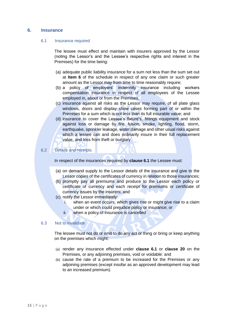#### <span id="page-9-1"></span><span id="page-9-0"></span>**6. Insurance**

#### 6.1 Insurance required

The lessee must effect and maintain with insurers approved by the Lessor (noting the Lessor's and the Lessee's respective rights and interest in the Premises) for the time being:

- (a) adequate public liability insurance for a sum not less than the sum set out at **Item 6** of the schedule in respect of any one claim or such greater amount as the Lessor may from time to time reasonably require;
- (b) a policy of employers' indemnity insurance including workers compensation insurance in respect of all employees of the Lessee employed in, about or from the Premises.
- (c) insurance against all risks as the Lessor may require, of all plate glass windows, doors and display show cases forming part of or within the Premises for a sum which is not less than its full insurable value; and
- (d) insurance to cover the Lessee's fixture's, fittings equipment and stock against loss or damage by fire, fusion, smoke, lighting, flood, storm, earthquake, sprinkler leakage, water damage and other usual risks against which a lessee can and does ordinarily insure in their full replacement value, and loss from theft or burglary.

## <span id="page-9-2"></span>6.2 Details and receipts

In respect of the insurances required by **clause 6.1** the Lessee must:

- (a) on demand supply to the Lessor details of the insurance and give to the Lessor copies of the certificates of currency in relation to those insurances;
- (b) promptly pay all premiums and produce to the Lessor each policy or certificate of currency and each receipt for premiums or certificate of currency issues by the insurers; and
- (c) notify the Lessor immediately:
	- i. when an event occurs, which gives rise or might give rise to a claim under or which could prejudice policy or insurance; or
	- ii. when a policy of insurance is cancelled.

# <span id="page-9-3"></span>6.3 Not to invalidate

The lessee must not do or omit to do any act or thing or bring or keep anything on the premises which might:

- (a) render any insurance effected under **clause 6.1** or **clause 20** on the Premises, or any adjoining premises, void or voidable: and
- (b) cause the rate of a premium to be increased for the Premises or any adjoining premises (except insofar as an approved development may lead to an increased premium).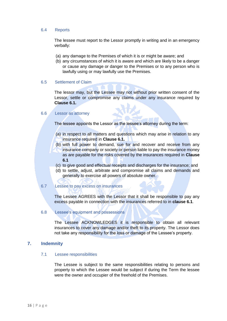#### <span id="page-10-0"></span>6.4 Reports

The lessee must report to the Lessor promptly in writing and in an emergency verbally:

- (a) any damage to the Premises of which it is or might be aware; and
- (b) any circumstances of which it is aware and which are likely to be a danger or cause any damage or danger to the Premises or to any person who is lawfully using or may lawfully use the Premises.

#### <span id="page-10-1"></span>6.5 Settlement of Claim

The lessor may, but the Lessee may not without prior written consent of the Lessor, settle or compromise any claims under any insurance required by **Clause 6.1.**

#### <span id="page-10-2"></span>6.6 Lessor as attorney

The lessee appoints the Lessor as the lessee's attorney during the term:

- (a) in respect to all matters and questions which may arise in relation to any insurance required in **Clause 6.1.**
- (b) with full power to demand, sue for and recover and receive from any insurance company or society or person liable to pay the insurance money as are payable for the risks covered by the insurances required in **Clause 6.1**
- (c) to give good and effectual receipts and discharges for the insurance; and
- (d) to settle, adjust, arbitrate and compromise all claims and demands and generally to exercise all powers of absolute owner.
- <span id="page-10-3"></span>6.7 Lessee to pay excess on insurances

The Lessee AGREES with the Lessor that it shall be responsible to pay any excess payable in connection with the insurances referred to in **clause 6.1**.

#### <span id="page-10-4"></span>6.8 Lessee's equipment and possessions

The Lessee ACKNOWLEDGES it is responsible to obtain all relevant insurances to cover any damage and/or theft to its property. The Lessor does not take any responsibility for the loss or damage of the Lessee's property.

# <span id="page-10-6"></span><span id="page-10-5"></span>**7. Indemnity**

#### 7.1 Lessee responsibilities

The Lessee is subject to the same responsibilities relating to persons and property to which the Lessee would be subject if during the Term the lessee were the owner and occupier of the freehold of the Premises.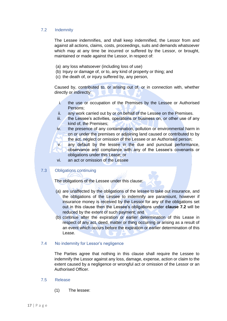## <span id="page-11-0"></span>7.2 Indemnity

The Lessee indemnifies, and shall keep indemnified, the Lessor from and against all actions, claims, costs, proceedings, suits and demands whatsoever which may at any time be incurred or suffered by the Lessor, or brought, maintained or made against the Lessor, in respect of:

- (a) any loss whatsoever (including loss of use)
- (b) Injury or damage of, or to, any kind of property or thing; and
- (c) the death of, or injury suffered by, any person,

Caused by, contributed to, or arising out of, or in connection with, whether directly or indirectly:

- i. the use or occupation of the Premises by the Lessee or Authorised Persons;
- ii. any work carried out by or on behalf of the Lessee on the Premises.
- $iii.$  the Lessee's activities, operations or business on, or other use of any kind of, the Premises;
- iv. the presence of any contamination, pollution or environmental harm in on or under the premises or adjoining land caused or contributed to by the act, neglect or omission of the Lessee or an Authorised person;
- v. any default by the lessee in the due and punctual performance, observance and compliance with any of the Lessee's covenants or obligations under this Lease; or
- vi. an act or omission of the Lessee

### <span id="page-11-1"></span>7.3 Obligations continuing

The obligations of the Lessee under this clause:

- (a) are unaffected by the obligations of the lessee to take out insurance, and the obligations of the Lessee to indemnify are paramount, however if insurance money is received by the Lessor for any of the obligations set out in this clause then the Lessee's obligations under **clause 7.2** will be reduced by the extent of such payment; and
- (b) continue after the expiration or earlier determination of this Lease in respect of any act, deed, matter or thing occurring or arising as a result of an event which occurs before the expiration or earlier determination of this Lease.

#### <span id="page-11-2"></span>7.4 No indemnity for Lessor's negligence

The Parties agree that nothing in this clause shall require the Lessee to indemnify the Lessor against any loss, damage, expense, action or claim to the extent caused by a negligence or wrongful act or omission of the Lessor or an Authorised Officer.

#### <span id="page-11-3"></span>7.5 Release

(1) The lessee: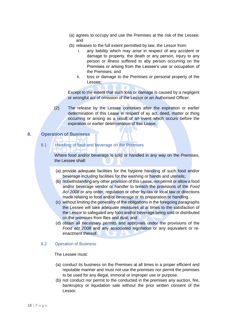- (a) agrees to occupy and use the Premises at the risk of the Lessee; and
- (b) releases to the full extent permitted by law, the Lessor from:
	- i. any liability which may arise in respect of any accident or damage to property, the death or any person, injury to any person or illness suffered to aby person occurring on the Premises or arising from the Lessee's use or occupation of the Premises; and
	- ii. loss or damage to the Premises or personal property of the Lessee;

Except to the extent that such loss or damage is caused by a negligent or wrongful act of omission of the Lessor or an Authorised Officer.

(2) The release by the Lessee continues after the expiration or earlier determination of this Lease in respect of ay act, deed, matter or thing occurring or arising as a result of an event which occurs before the expiration or earlier determination of this Lease.

# <span id="page-12-1"></span><span id="page-12-0"></span>**8. Operation of Business**

8.1 **Handling of food and beverage on the Premises** 

Where food and/or beverage is sold or handled in any way on the Premises, the Lessee shall:

- (a) provide adequate facilities for the hygiene handling of such food and/or beverage including facilities for the washing or hands and utensils;
- (b) notwithstanding any other provision of this Lease, not permit or allow a food and/or beverage vendor or handler to breach the provisions of the *Food Act 2008* or any order, regulation or other by-law or local law or directions made relating to food and/or beverage or its preparation or handling.
- (c) without limiting the generality of the obligations in the foregoing paragraphs the Lessee will take adequate measures at al times to the satisfaction of the Lessor to safeguard any food and/or beverage being sold or distributed on the premises from flies and dust; and
- (d) obtain all necessary permits and approvals under the provisions of the *Food act 2008* and any associated legislation or any equivalent or reenactment thereof.

# <span id="page-12-2"></span>8.2 Operation of Business

The Lessee must:

- (a) conduct its business on the Premises at all times in a proper efficient and reputable manner and must not use the premises nor permit the premises to be used for any illegal, immoral or improper use or purpose.
- (b) not conduct nor permit to the conducted in the premises any auction, fire, bankruptcy or liquidation sale without the prior written consent of the Lessor.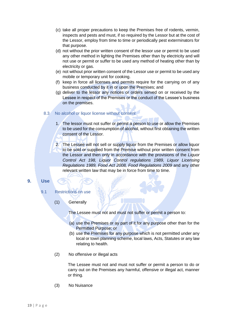- (c) take all proper precautions to keep the Premises free of rodents, vermin, inspects and pests and must, if so required by the Lessor but at the cost of the Lessor, employ from time to time or periodically pest exterminators for that purpose.
- (d) not without the prior written consent of the lessor use or permit to be used any other method in lighting the Premises other than by electricity and will not use or permit or suffer to be used any method of heating other than by electricity or gas.
- (e) not without prior written consent of the Lessor use or permit to be used any mobile or temporary unit for cooking.
- (f) keep in force all licenses and permits require for the carrying on of any business conducted by it in or upon the Premises; and
- (g) deliver to the lessor any notices or orders served on or received by the Lessee in respect of the Premises or the conduct of the Lessee's business on the premises.
- <span id="page-13-0"></span>8.3 No alcohol or liquor license without consent
	- 1. The lessor must not suffer or permit a person to use or allow the Premises to be used for the consumption of alcohol, without first obtaining the written consent of the Lessor.
	- 2. The Lessee will not sell or supply liquor from the Premises or allow liquor to be sold or supplied from the Premise without prior written consent from the Lessor and then only in accordance with the provisions of the *Liquor Control Act 198, Liquor Control regulations 1989, Liquor Licensing Regulations 1989, Food Act 2008, Food Regulations 2009* and any other relevant written law that may be in force from time to time.
- <span id="page-13-2"></span><span id="page-13-1"></span>**9. Use**
	- 9.1 Restrictions on use
		- (1) Generally

The Lessee must not and must not suffer or permit a person to:

- (a) use the Premises or ay part of it for any purpose other than for the Permitted Purpose; or
- (b) use the Premises for any purpose which is not permitted under any local or town planning scheme, local laws, Acts, Statutes or any law relating to health.
- (2) No offensive or illegal acts

The Lessee must not and must not suffer or permit a person to do or carry out on the Premises any harmful, offensive or illegal act, manner or thing.

(3) No Nuisance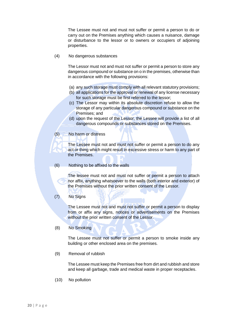The Lessee must not and must not suffer or permit a person to do or carry out on the Premises anything which causes a nuisance, damage or disturbance to the lessor or to owners or occupiers of adjoining properties.

#### (4) No dangerous substances

The Lessor must not and must not suffer or permit a person to store any dangerous compound or substance on o in the premises, otherwise than in accordance with the following provisions:

- (a) any such storage must comply with all relevant statutory provisions;
- (b) all applications for the approval or renewal of any license necessary for such storage must be first referred to the lessor;
- (c) The Lessor may within its absolute discretion refuse to allow the storage of any particular dangerous compound or substance on the Premises; and
- (d) upon the request of the Lessor, the Lessee will provide a list of all dangerous compounds or substances stored on the Premises.

# (5) No harm or distress

The Lessee must not and must not suffer or permit a person to do any act or thing which might result in excessive stress or harm to any part of the Premises.

(6) Nothing to be affixed to the walls

The lessee must not and must not suffer or permit a person to attach nor affix, anything whatsoever to the walls (both interior and exterior) of the Premises without the prior written consent of the Lessor.

(7) No Signs

The Lessee must not and must not suffer or permit a person to display from or affix any signs, notices or advertisements on the Premises without the prior written consent of the Lessor.

(8) No Smoking

The Lessee must not suffer or permit a person to smoke inside any building or other enclosed area on the premises.

(9) Removal of rubbish

The Lessee must keep the Premises free from dirt and rubbish and store and keep all garbage, trade and medical waste in proper receptacles.

(10) No pollution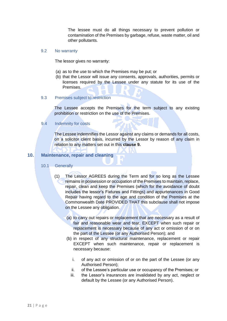The lessee must do all things necessary to prevent pollution or contamination of the Premises by garbage, refuse, waste matter, oil and other pollutants.

#### <span id="page-15-0"></span>9.2 No warranty

The lessor gives no warranty:

- (a) as to the use to which the Premises may be put; or
- (b) that the Lessor will issue any consents, approvals, authorities, permits or licenses required by the Lessee under any statute for its use of the Premises.
- <span id="page-15-1"></span>9.3 Premises subject to restriction

The Lessee accepts the Premises for the term subject to any existing prohibition or restriction on the use of the Premises.

# <span id="page-15-2"></span>9.4 Indemnity for costs

The Lessee indemnifies the Lessor against any claims or demands for all costs, on a solicitor client basis, incurred by the Lessor by reason of any claim in relation to any matters set out in this **clause 9.** 

# <span id="page-15-4"></span><span id="page-15-3"></span>**10. Maintenance, repair and cleaning**

# 10.1 Generally

- (1) The Lessor AGREES during the Term and for so long as the Lessee remains in possession or occupation of the Premises to maintain, replace, repair, clean and keep the Premises (which for the avoidance of doubt includes the lessor's Fixtures and Fittings) and appurtenances in Good Repair having regard to the age and condition of the Premises at the Commonwealth Date PROVIDED THAT this subclause shall not impose on the Lessee any obligation.
	- (a) to carry out repairs or replacement that are necessary as a result of fair and reasonable wear and tear, EXCEPT when such repair or replacement is necessary because of any act or omission of or on the part of the Lessee (or any Authorised Person); and
	- (b) in respect of any structural maintenance, replacement or repair EXCEPT when such maintenance, repair or replacement is necessary because:
		- i. of any act or omission of or on the part of the Lessee (or any Authorised Person);
		- ii. of the Lessee's particular use or occupancy of the Premises; or
		- iii. the Lessor's insurances are invalidated by any act, neglect or default by the Lessee (or any Authorised Person).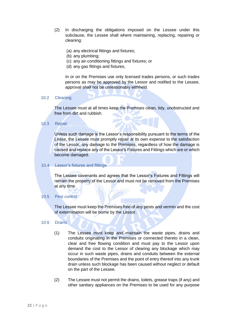- (2) In discharging the obligations imposed on the Lessee under this subclause, the Lessee shall where maintaining, replacing, repairing or cleaning:
	- (a) any electrical fittings and fixtures;
	- (b) any plumbing;
	- (c) any air-conditioning fittings and fixtures; or
	- (d) any gas fittings and fixtures,

In or on the Premises use only licensed trades persons, or such trades persons as may be approved by the Lessor and notified to the Lessee, approval shall not be unreasonably withheld.

## <span id="page-16-0"></span>10.2 Cleaning

The Lessee must at all times keep the Premises clean, tidy, unobstructed and free from dirt and rubbish.

#### <span id="page-16-1"></span>10.3 Repair

Unless such damage is the Lessor's responsibility pursuant to the terms of the Lease, the Lessee must promptly repair at its own expense to the satisfaction of the Lessor, any damage to the Premises, regardless of how the damage is caused and replace any of the Lessor's Fixtures and Fittings which are or which become damaged.

# <span id="page-16-2"></span>10.4 Lessor's fixtures and fittings

The Lessee covenants and agrees that the Lessor's Fixtures and Fittings will remain the property of the Lessor and must not be removed from the Premises at any time.

# <span id="page-16-3"></span>10.5 Pest control

The Lessee must keep the Premises free of any pests and vermin and the cost of extermination will be borne by the Lessor.

#### <span id="page-16-4"></span>10.6 Drains

- (1) The Lessee must keep and maintain the waste pipes, drains and conduits originating in the Premises or connected thereto in a clean, clear and free flowing condition and must pay to the Lessor upon demand the cost to the Lessor of clearing any blockage which may occur in such waste pipes, drains and conduits between the external boundaries of the Premises and the point of entry thereof into any trunk drain unless such blockage has been caused without neglect or default on the part of the Lessee.
- (2) The Lessee must not permit the drains, toilets, grease traps (if any) and other sanitary appliances on the Premises to be used for any purpose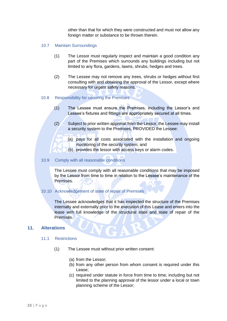other than that for which they were constructed and must not allow any foreign matter or substance to be thrown therein.

# <span id="page-17-0"></span>10.7 Maintain Surroundings

- (1) The Lessor must regularly inspect and maintain a good condition any part of the Premises which surrounds any buildings including but not limited to any flora, gardens, lawns, shrubs, hedges and trees.
- (2) The Lessee may not remove any trees, shrubs or hedges without first consulting with and obtaining the approval of the Lessor, except where necessary for urgent safety reasons.

#### <span id="page-17-1"></span>10.8 Responsibility for securing the Premises

- (1) The Lessee must ensure the Premises, including the Lessor's and Lessee's fixtures and fittings are appropriately secured at all times.
- (2) Subject to prior written approval from the Lessor, the Lessee may install a security system to the Premises, PROVIDED the Lessee:
	- (a) pays for all costs associated with the installation and ongoing monitoring of the security system; and
	- (b) provides the lessor with access keys or alarm codes.

#### <span id="page-17-2"></span>10.9 Comply with all reasonable conditions

The Lessee must comply with all reasonable conditions that may be imposed by the Lessor from time to time in relation to the Lessee's maintenance of the Premises.

# <span id="page-17-3"></span>10.10 Acknowledgement of state of repair of Premises

The Lessee acknowledges that it has inspected the structure of the Premises internally and externally prior to the execution of this Lease and enters into the lease with full knowledge of the structural state and state of repair of the Premises.

#### <span id="page-17-5"></span><span id="page-17-4"></span>**11. Alterations**

#### 11.1 Restrictions

- (1) The Lessee must without prior written consent:
	- (a) from the Lessor;
	- (b) from any other person from whom consent is required under this Lease;
	- (c) required under statute in force from time to time, including but not limited to the planning approval of the lessor under a local or town planning scheme of the Lessor;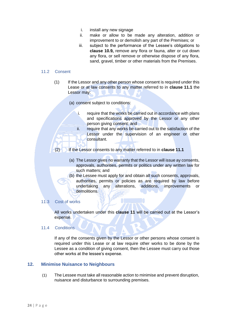- i. install any new signage
- ii. make or allow to be made any alteration, addition or improvement to or demolish any part of the Premises; or
- iii. subject to the performance of the Lessee's obligations to **clause 10.9,** remove any flora or fauna, alter or cut down any flora, or sell remove or otherwise dispose of any flora, sand, gravel, timber or other materials from the Premises.

## <span id="page-18-0"></span>11.2 Consent

- (1) If the Lessor and any other person whose consent is required under this Lease or at law consents to any matter referred to in **clause 11.1** the Lessor may:
	- (a) consent subject to conditions:
		- i. require that the works be carried out in accordance with plans and specifications approved by the Lessor or any other person giving consent; and
		- ii. require that any works be carried out to the satisfaction of the Lessor under the supervision of an engineer or other consultant.
- (2) If the Lessor consents to any matter referred to in **clause 11.1**
	- (a) The Lessor gives no warranty that the Lessor will issue ay consents, approvals, authorities, permits or politics under any written law for such matters; and
	- (b) the Lessee must apply for and obtain all such consents, approvals, authorities, permits or policies as are required by law before undertaking any alterations, additions, improvements or demolitions.

#### <span id="page-18-1"></span>11.3 Cost of works

All works undertaken under this **clause 11** will be carried out at the Lessor's expense.

<span id="page-18-2"></span>11.4 Conditions

If any of the consents given by the Lessor or other persons whose consent is required under this Lease or at law require other works to be done by the Lessee as a condition of giving consent, then the Lessee must carry out those other works at the lessee's expense.

# <span id="page-18-3"></span>**12. Minimise Nuisance to Neighbours**

(1) The Lessee must take all reasonable action to minimise and prevent disruption, nuisance and disturbance to surrounding premises.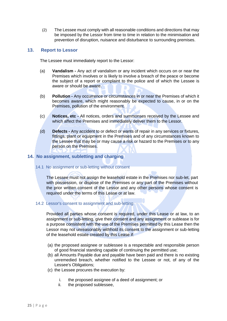(2) The Lessee must comply with all reasonable conditions and directions that may be imposed by the Lessor from time to time in relation to the minimisation and prevention of disruption, nuisance and disturbance to surrounding premises.

# <span id="page-19-0"></span>**13. Report to Lessor**

The Lessee must immediately report to the Lessor:

- (a) **Vandalism -** Any act of vandalism or any incident which occurs on or near the Premises which involves or is likely to involve a breach of the peace or become the subject of a report or complaint to the police and of which the Lessee is aware or should be aware.
- (b) **Pollution -** Any occurrence or circumstances in or near the Premises of which it becomes aware, which might reasonably be expected to cause, in or on the Premises, pollution of the environment.
- (c) **Notices, etc -** All notices, orders and summonses received by the Lessee and which affect the Premises and immediately deliver them to the Lessor.
- (d) **Defects -** Any accident to or defect or wants of repair in any services or fixtures, fittings, plant or equipment in the Premises and of any circumstances known to the Lessee that may be or may cause a risk or hazard to the Premises or to any person on the Premises.

# <span id="page-19-1"></span>**14. No assignment, subletting and charging**

<span id="page-19-2"></span>14.1 No assignment or sub-letting without consent

The Lessee must not assign the leasehold estate in the Premises nor sub-let, part with possession, or dispose of the Premises or any part of the Premises without the prior written consent of the Lessor and any other persons whose consent is required under the terms of this Lease or at law.

<span id="page-19-3"></span>14.2 Lessor's consent to assignment and sub-letting

Provided all parties whose consent is required, under this Lease or at law, to an assignment or sub-letting, give their consent and any assignment or sublease is for a purpose consistent with the use of the Premises permitted by this Lease then the Lessor may not unreasonably withhold its consent to the assignment or sub-letting of the leasehold estate created by this Lease if:

- (a) the proposed assignee or sublessee is a respectable and responsible person of good financial standing capable of continuing the permitted use;
- (b) all Amounts Payable due and payable have been paid and there is no existing unremedied breach, whether notified to the Lessee or not, of any of the Lessee's Obligations;
- (c) the Lessee procures the execution by:
	- i. the proposed assignee of a deed of assignment; or
	- ii. the proposed sublessee,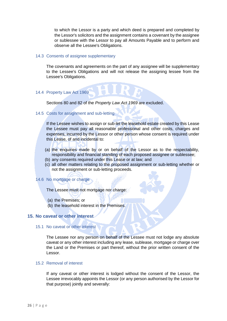to which the Lessor is a party and which deed is prepared and completed by the Lessor's solicitors and the assignment contains a covenant by the assignee or sublessee with the Lessor to pay all Amounts Payable and to perform and observe all the Lessee's Obligations.

#### <span id="page-20-0"></span>14.3 Consents of assignee supplementary

The covenants and agreements on the part of any assignee will be supplementary to the Lessee's Obligations and will not release the assigning lessee from the Lessee's Obligations.

#### <span id="page-20-1"></span>14.4 Property Law Act 1969

Sections 80 and 82 of the *Property Law Act 1969* are excluded.

<span id="page-20-2"></span>14.5 Costs for assignment and sub-letting

If the Lessee wishes to assign or sub-let the leasehold estate created by this Lease the Lessee must pay all reasonable professional and other costs, charges and expenses, incurred by the Lessor or other person whose consent is required under this Lease, of and incidental to:

- (a) the enquiries made by or on behalf of the Lessor as to the respectability, responsibility and financial standing of each proposed assignee or sublessee;
- (b) any consents required under this Lease or at law; and
- (c) all other matters relating to the proposed assignment or sub-letting whether or not the assignment or sub-letting proceeds.

#### <span id="page-20-3"></span>14.6 No mortgage or charge

The Lessee must not mortgage nor charge:

- (a) the Premises; or
- (b) the leasehold interest in the Premises.

### <span id="page-20-4"></span>**15. No caveat or other interest**

#### <span id="page-20-5"></span>15.1 No caveat or other interest

The Lessee nor any person on behalf of the Lessee must not lodge any absolute caveat or any other interest including any lease, sublease, mortgage or charge over the Land or the Premises or part thereof, without the prior written consent of the Lessor.

#### <span id="page-20-6"></span>15.2 Removal of interest

If any caveat or other interest is lodged without the consent of the Lessor, the Lessee irrevocably appoints the Lessor (or any person authorised by the Lessor for that purpose) jointly and severally: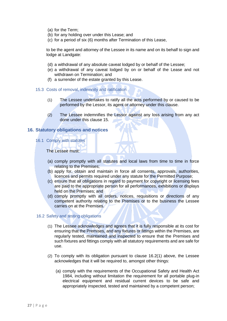- (a) for the Term;
- (b) for any holding over under this Lease; and
- (c) for a period of six (6) months after Termination of this Lease,

to be the agent and attorney of the Lessee in its name and on its behalf to sign and lodge at Landgate:

- (d) a withdrawal of any absolute caveat lodged by or behalf of the Lessee;
- (e) a withdrawal of any caveat lodged by on or behalf of the Lease and not withdrawn on Termination; and
- (f) a surrender of the estate granted by this Lease.
- <span id="page-21-0"></span>15.3 Costs of removal, indemnity and ratification
	- (1) The Lessee undertakes to ratify all the acts performed by or caused to be performed by the Lessor, its agent or attorney under this clause.
	- (2) The Lessee indemnifies the Lessor against any loss arising from any act done under this clause 15.

# <span id="page-21-1"></span>**16. Statutory obligations and notices**

<span id="page-21-2"></span>16.1 Comply with statutes

The Lessee must:

- (a) comply promptly with all statutes and local laws from time to time in force relating to the Premises;
- (b) apply for, obtain and maintain in force all consents, approvals, authorities, licences and permits required under any statute for the Permitted Purpose;
- (c) ensure that all obligations in regard to payment for copyright or licensing fees are paid to the appropriate person for all performances, exhibitions or displays held on the Premises; and
- (d) comply promptly with all orders, notices, requisitions or directions of any competent authority relating to the Premises or to the business the Lessee carries on at the Premises.

#### <span id="page-21-3"></span>16.2 Safety and testing obligations

- (1) The Lessee acknowledges and agrees that it is fully responsible at its cost for ensuring that the Premises, and any fixtures or fittings within the Premises, are regularly tested, maintained and inspected to ensure that the Premises and such fixtures and fittings comply with all statutory requirements and are safe for use.
- (2) To comply with its obligation pursuant to clause 16.2(1) above, the Lessee acknowledges that it will be required to, amongst other things:
	- (a) comply with the requirements of the Occupational Safety and Health Act 1984, including without limitation the requirement for all portable plug-in electrical equipment and residual current devices to be safe and appropriately inspected, tested and maintained by a competent person;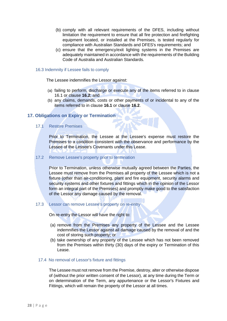- (b) comply with all relevant requirements of the DFES, including without limitation the requirement to ensure that all fire protection and firefighting equipment located, or installed at the Premises, is tested regularly for compliance with Australian Standards and DFES's requirements; and
- (c) ensure that the emergency/exit lighting systems in the Premises are adequately maintained in accordance with the requirements of the Building Code of Australia and Australian Standards.

#### <span id="page-22-0"></span>16.3 Indemnity if Lessee fails to comply

The Lessee indemnifies the Lessor against:

- (a) failing to perform, discharge or execute any of the items referred to in clause 16.1 or clause **16.2**; and
- (b) any claims, demands, costs or other payments of or incidental to any of the items referred to in clause **16.1** or clause **16.2**.

## <span id="page-22-1"></span>**17. Obligations on Expiry or Termination**

<span id="page-22-2"></span>17.1 Restore Premises

Prior to Termination, the Lessee at the Lessee's expense must restore the Premises to a condition consistent with the observance and performance by the Lessee of the Lessee's Covenants under this Lease.

<span id="page-22-3"></span>17.2 Remove Lessee's property prior to termination

Prior to Termination, unless otherwise mutually agreed between the Parties, the Lessee must remove from the Premises all property of the Lessee which is not a fixture (other than air-conditioning, plant and fire equipment, security alarms and security systems and other fixtures and fittings which in the opinion of the Lessor form an integral part of the Premises) and promptly make good to the satisfaction of the Lessor any damage caused by the removal.

<span id="page-22-4"></span>17.3 Lessor can remove Lessee's property on re-entry

On re-entry the Lessor will have the right to:

- (a) remove from the Premises any property of the Lessee and the Lessee indemnifies the Lessor against all damage caused by the removal of and the cost of storing such property; or
- (b) take ownership of any property of the Lessee which has not been removed from the Premises within thirty (30) days of the expiry or Termination of this Lease.

#### <span id="page-22-5"></span>17.4 No removal of Lessor's fixture and fittings

The Lessee must not remove from the Premise, destroy, alter or otherwise dispose of (without the prior written consent of the Lessor), at any time during the Term or on determination of the Term, any appurtenance or the Lessor's Fixtures and Fittings, which will remain the property of the Lessor at all times.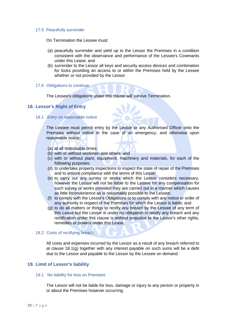#### <span id="page-23-0"></span>17.5 Peacefully surrender

On Termination the Lessee must:

- (a) peacefully surrender and yield up to the Lessor the Premises in a condition consistent with the observance and performance of the Lessee's Covenants under this Lease; and
- (b) surrender to the Lessor all keys and security access devices and combination for locks providing an access to or within the Premises held by the Lessee whether or not provided by the Lessor.
- <span id="page-23-1"></span>17.6 Obligations to continue

The Lessee's obligations under this clause will survive Termination.

# <span id="page-23-2"></span>**18. Lessor's Right of Entry**

#### <span id="page-23-3"></span>18.1 Entry on reasonable notice

The Lessee must permit entry by the Lessor or any Authorised Officer onto the Premises without notice in the case of an emergency, and otherwise upon reasonable notice:

- (a) at all reasonable times;
- (b) with or without workmen and others; and
- (c) with or without plant, equipment, machinery and materials, for each of the following purposes:
- (d) to undertake property inspections to inspect the state of repair of the Premises and to ensure compliance with the terms of this Lease;
- (e) to carry out any survey or works which the Lessor considers necessary, however the Lessor will not be liable to the Lessee for any compensation for such survey or works provided they are carried out in a manner which causes as little inconvenience as is reasonably possible to the Lessee;
- (f) to comply with the Lessor's Obligations or to comply with any notice or order of any authority in respect of the Premises for which the Lessor is liable; and
- (g) to do all matters or things to rectify any breach by the Lessee of any term of this Lease but the Lessor is under no obligation to rectify any breach and any rectification under this clause is without prejudice to the Lessor's other rights, remedies or powers under this Lease.

#### <span id="page-23-4"></span>18.2 Costs of rectifying breach

All costs and expenses incurred by the Lessor as a result of any breach referred to at clause 18.1(g) together with any interest payable on such sums will be a debt due to the Lessor and payable to the Lessor by the Lessee on demand.

#### <span id="page-23-5"></span>**19. Limit of Lessor's liability**

#### <span id="page-23-6"></span>19.1 No liability for loss on Premises

The Lessor will not be liable for loss, damage or injury to any person or property in or about the Premises however occurring.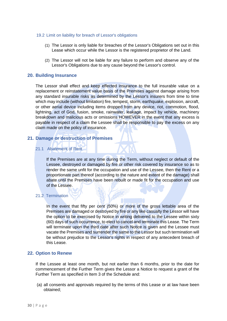#### <span id="page-24-0"></span>19.2 Limit on liability for breach of Lessor's obligations

- (1) The Lessor is only liable for breaches of the Lessor's Obligations set out in this Lease which occur while the Lessor is the registered proprietor of the Land.
- (2) The Lessor will not be liable for any failure to perform and observe any of the Lessor's Obligations due to any cause beyond the Lessor's control.

#### <span id="page-24-1"></span>**20. Building Insurance**

The Lessor shall effect and keep effected insurance to the full insurable value on a replacement or reinstatement value basis of the Premises against damage arising from any standard insurable risks as determined by the Lessor's insurers from time to time which may include (without limitation) fire, tempest, storm, earthquake, explosion, aircraft, or other aerial device including items dropped from any device, riot, commotion, flood, lightning, act of God, fusion, smoke, rainwater, leakage, impact by vehicle, machinery breakdown and malicious acts or omissions HOWEVER in the event that any excess is payable in respect of a claim the Lessee shall be responsible to pay the excess on any claim made on the policy of insurance.

## <span id="page-24-2"></span>**21. Damage or destruction of Premises**

## <span id="page-24-3"></span>21.1 Abatement of Rent

If the Premises are at any time during the Term, without neglect or default of the Lessee, destroyed or damaged by fire or other risk covered by insurance so as to render the same unfit for the occupation and use of the Lessee, then the Rent or a proportionate part thereof (according to the nature and extent of the damage) shall abate until the Premises have been rebuilt or made fit for the occupation and use of the Lessee.

# <span id="page-24-4"></span>21.2 Termination

In the event that fifty per cent (50%) or more of the gross lettable area of the Premises are damaged or destroyed by fire or any like casualty the Lessor will have the option to be exercised by Notice in writing delivered to the Lessee within sixty (60) days of such occurrence, to elect to cancel and terminate this Lease. The Term will terminate upon the third date after such Notice is given and the Lessee must vacate the Premises and surrender the same to the Lessor but such termination will be without prejudice to the Lessor's rights in respect of any antecedent breach of this Lease.

#### <span id="page-24-5"></span>**22. Option to Renew**

If the Lessee at least one month, but not earlier than 6 months, prior to the date for commencement of the Further Term gives the Lessor a Notice to request a grant of the Further Term as specified in Item 3 of the Schedule and:

(a) all consents and approvals required by the terms of this Lease or at law have been obtained;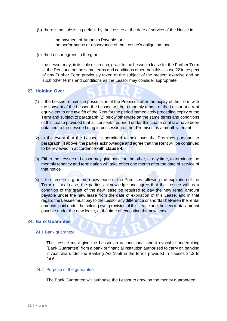- (b) there is no subsisting default by the Lessee at the date of service of the Notice in:
	- i. the payment of Amounts Payable; or
	- ii. the performance or observance of the Lessee's obligation; and
- (c) the Lessor agrees to the grant,

the Lessor may, in its sole discretion, grant to the Lessee a lease for the Further Term at the Rent and on the same terms and conditions other than this clause 22 in respect of any Further Term previously taken or the subject of the present exercise and on such other terms and conditions as the Lessor may consider appropriate.

# <span id="page-25-0"></span>**23. Holding Over**

- (1) If the Lessee remains in possession of the Premises after the expiry of the Term with the consent of the Lessor, the Lessee will be a monthly tenant of the Lessor at a rent equivalent to one twelfth of the Rent for the period immediately preceding expiry of the Term and subject to paragraph (2) below otherwise on the same terms and conditions of this Lease provided that all consents required under this Lease or at law have been obtained to the Lessee being in possession of the Premises as a monthly tenant.
- (2) In the event that the Lessee is permitted to hold over the Premises pursuant to paragraph (l) above, the parties acknowledge and agree that the Rent will be continued to be reviewed in accordance with **clause 4.**
- (3) Either the Lessee or Lessor may give notice to the other, at any time, to terminate the monthly tenancy and termination will take effect one month after the date of service of that notice.
- (4) If the Lessee is granted a new lease of the Premises following the expiration of the Term of this Lease, the parties acknowledge and agree that the Lessee will as a condition of the grant of the new lease be required to pay the new rental amount payable under the new lease from the date of expiration of this Lease, and in that regard the Lessee must pay to the Lessor any difference or shortfall between the rental amounts paid under the holding over provision of this Lease and the new rental amount payable under the new lease, at the time of executing the new lease.

# <span id="page-25-1"></span>**24. Bank Guarantee**

#### <span id="page-25-2"></span>24.1 Bank guarantee

The Lessee must give the Lessor an unconditional and irrevocable undertaking (Bank Guarantee) from a bank or financial institution authorised to carry on banking in Australia under the Banking Act 1959 in the terms provided in clauses 24.2 to 24.6.

#### <span id="page-25-3"></span>24.2 Purpose of the guarantee

The Bank Guarantee will authorise the Lessor to draw on the money guaranteed: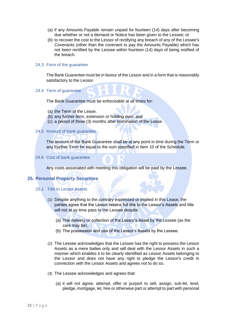- (a) if any Amounts Payable remain unpaid for fourteen (14) days after becoming due whether or not a demand or Notice has been given to the Lessee; or
- (b) to recover the cost to the Lessor of rectifying any breach of any of the Lessee's Covenants (other than the covenant to pay the Amounts Payable) which has not been rectified by the Lessee within fourteen (14) days of being notified of the breach.

#### <span id="page-26-0"></span>24.3 Form of the guarantee

The Bank Guarantee must be in favour of the Lessor and in a form that is reasonably satisfactory to the Lessor.

#### <span id="page-26-1"></span>24.4 Term of guarantee

The Bank Guarantee must be enforceable at all times for:

- (a) the Term of the Lease;
- (b) any further term, extension or holding over; and
- (c) a period of three (3) months after termination of the Lease.

#### <span id="page-26-2"></span>24.5 Amount of bank guarantee

The amount of the Bank Guarantee shall be at any point in time during the Term or any Further Term be equal to the sum specified in Item 10 of the Schedule.

#### <span id="page-26-3"></span>24.6 Cost of bank guarantee

Any costs associated with meeting this obligation will be paid by the Lessee.

# <span id="page-26-4"></span>**25. Personal Property Securities**

#### <span id="page-26-5"></span>25.1 Title to Lessor Assets

- (1) Despite anything to the contrary expressed or implied in this Lease, the parties agree that the Lessor retains full title to the Lessor's Assets and title will not at ay time pass to the Lessee despite:
	- (a) The delivery or collection of the Lessor's Asset by the Lessee (as the care may be);
	- (b) The possession and use of the Lessor's Assets by the Lessee.
- (2) The Lessee acknowledges that the Lessee has the right to possess the Lessor Assets as a mere bailee only and will deal with the Lessor Assets in such a manner which enables it to be clearly identified as Lessor Assets belonging to the Lessor and does not have any right to pledge the Lessor's credit in connection with the Lessor Assets and agrees not to do so.
- (3) The Lessee acknowledges and agrees that:
	- (a) it will not agree, attempt, offer or purport to sell, assign, sub-let, lend, pledge, mortgage, let, hire or otherwise part or attempt to part with personal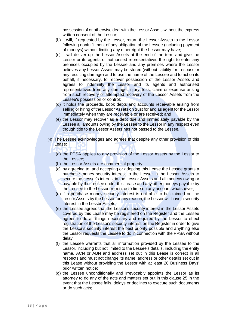possession of or otherwise deal with the Lessor Assets without the express written consent of the Lessor;

- (b) it will, if requested by the Lessor, return the Lessor Assets to the Lessor following nonfulfillment of any obligation of the Lessee (including payment of moneys) without limiting any other right the Lessor may have;
- (c) it will deliver up the Lessor Assets at the end of the term and give the Lessor or its agents or authorised representatives the right to enter any premises occupied by the Lessee and any premises where the Lessor believes any Lessor Assets may be stored (without liability for trespass or any resulting damage) and to use the name of the Lessee and to act on its behalf, if necessary, to recover possession of the Lessor Assets and agrees to indemnify the Lessor and its agents and authorised representatives from any damage, injury, loss, claim or expense arising from such recovery or attempted recovery of the Lessor Assets from the Lessee's possession or control;
- (d) it holds the proceeds, book debts and accounts receivable arising from selling or hiring of the Lessor Assets on trust for and as agent for the Lessor immediately when they are receivable or are received; and
- (e) the Lessor may recover as a debt due and immediately payable by the Lessee all amounts owing by the Lessee to the Lessor in any respect even though title to the Lessor Assets has not passed to the Lessee.
- (4) The Lessee acknowledges and agrees that despite any other provision of this Lease:
	- (a) the PPSA applies to any provision of the Lessor Assets by the Lessor to the Lessee;
	- (b) the Lessor Assets are commercial property;
	- (c) by agreeing to, and accepting or adopting this Lease the Lessee grants a purchase money security interest to the Lessor in the Lessor Assets to secure the Lessor's interest in the Lessor Assets and all moneys owing or payable by the Lessee under this Lease and any other moneys payable by the Lessee to the Lessor from time to time on any account whatsoever;
	- (d) if a purchase money security interest is not able to be claimed on the Lessor Assets by the Lessor for any reason, the Lessor will have a security interest in the Lessor Assets;
	- (e) the Lessee agrees that the Lessor's security interest in the Lessor Assets covered by this Lease may be registered on the Register and the Lessee agrees to do all things necessary and required by the Lessor to effect registration of the Lessor's security interest on the Register in order to give the Lessor's security interest the best priority possible and anything else the Lessor requests the Lessee to do in connection with the PPSA without delay;
	- (f) the Lessee warrants that all information provided by the Lessee to the Lessor, including but not limited to the Lessee's details, including the entity name, ACN or ABN and address set out in this Lease is correct in all respects and must not change its name, address or other details set out in this Lease without providing the Lessor with at least 20 Business Days' prior written notice;
	- (g) the Lessee unconditionally and irrevocably appoints the Lessor as its attorney to do any of the acts and matters set out in this clause 25 in the event that the Lessee fails, delays or declines to execute such documents or do such acts;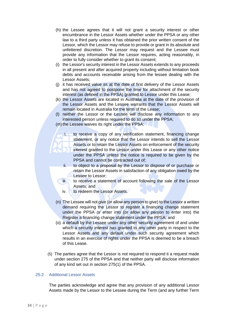- (h) the Lessee agrees that it will not grant a security interest or other encumbrance in the Lessor Assets whether under the PPSA or any other law to a third party unless it has obtained the prior written consent of the Lessor, which the Lessor may refuse to provide or grant in its absolute and unfettered discretion. The Lessor may request and the Lessee must provide any information that the Lessor requires, acting reasonably, in order to fully consider whether to grant its consent;
- (i) the Lessor's security interest in the Lessor Assets extends to any proceeds in all present and after acquired property including without limitation book debts and accounts receivable arising from the lessee dealing with the Lessor Assets;
- (j) it has received value as at the date of first delivery of the Lessor Assets and has not agreed to postpone the time for attachment of the security interest (as defined in the PPSA) granted to Lessor under this Lease;
- (k) the Lessor Assets are located in Australia at the date of the provision of the Lessor Assets and the Lessee warrants that the Lessor Assets will remain located in Australia for the term of the Lease;
- (l) neither the Lessor or the Lessee will disclose any information to any interested person unless required to do so under the PPSA;
- (m) the Lessee waives its right under the PPSA:
	- i. to receive a copy of any verification statement, financing change statement, or any notice that the Lessor intends to sell the Lessor Assets or to retain the Lessor Assets on enforcement of the security interest granted to the Lessor under this Lease or any other notice under the PPSA unless the notice is required to be given by the PPSA and cannot be contracted out of;
	- ii. to object to a proposal by the Lessor to dispose of or purchase or retain the Lessor Assets in satisfaction of any obligation owed by the Lessee to Lessor;
	- iii. to receive a statement of account following the sale of the Lessor Assets; and
	- iv. to redeem the Lessor Assets.
- (n) The Lessee will not give (or allow any person to give) to the Lessor a written demand requiring the Lessor to register a financing change statement under the PPSA or enter into (or allow any person to enter into) the Register a financing change statement under the PPSA; and
- (o) a default by the Lessee under any other security agreement of and under which a security interest has granted to any other party in respect to the Lessor Assets and any default under such security agreement which results in an exercise of rights under the PPSA is deemed to be a breach of this Lease.
- (5) The parties agree that the Lessor is not required to respond ti a request made under section 275 of the PPSA and that neither party will disclose information of any kind set out in section 275(1) of the PPSA.

#### <span id="page-28-0"></span>25.2 Additional Lessor Assets

The parties acknowledge and agree that any provision of any additional Lessor Assets made by the Lessor to the Lessee during the Term (and any further Term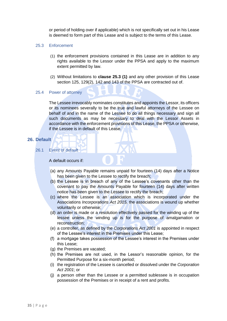or period of holding over if applicable) which is not specifically set out in his Lease is deemed to form part of this Lease and is subject to the terms of this Lease.

#### <span id="page-29-0"></span>25.3 Enforcement

- (1) the enforcement provisions contained in this Lease are in addition to any rights available to the Lessor under the PPSA and apply to the maximum extent permitted by law.
- (2) Without limitations to **clause 25.3 (1)** and any other provision of this Lease section 125, 129(2), 142 and 143 of the PPSA are contracted out of.

# <span id="page-29-1"></span>25.4 Power of attorney

The Lessee irrevocably nominates constitutes and appoints the Lessor, its officers or its nominees severally to be the true and lawful attorneys of the Lessee on behalf of and in the name of the Lessee to do all things necessary and sign all such documents as may be necessary to deal with the Lessor Assets in accordance with the enforcement provisions of this Lease, the PPSA or otherwise, if the Lessee is in default of this Lease.

# <span id="page-29-2"></span>**26. Default**

<span id="page-29-3"></span>26.1 Event of default

#### A default occurs if:

- (a) any Amounts Payable remains unpaid for fourteen (14) days after a Notice has been given to the Lessee to rectify the breach;
- (b) the Lessee is in breach of any of the Lessee's covenants other than the covenant to pay the Amounts Payable for fourteen (14) days after written notice has been given to the Lessee to rectify the breach;
- (c) where the Lessee is an association which is incorporated under the Associations *Incorporations Act 2015,* the associations is wound up whether voluntarily or otherwise;
- (d) an order is made or a resolution effectively passed for the winding up of the lessee unless the winding up is for the purpose of amalgamation or reconstruction;
- (e) a controller, as defined by the *Corporations Act 2001* is appointed in respect of the Lessee's interest in the Premises under this Lease;
- (f) a mortgage takes possession of the Lessee's interest in the Premises under this Lease;
- (g) the Premises are vacated;
- (h) the Premises are not used, in the Lessor's reasonable opinion, for the Permitted Purpose for a six-month period;
- (i) the registration of the Lessee is cancelled or dissolved under the *Corporation Act 2001*; or
- (j) a person other than the Lessee or a permitted sublessee is in occupation possession of the Premises or in receipt of a rent and profits.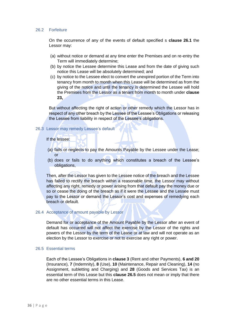#### <span id="page-30-0"></span>26.2 Forfeiture

On the occurrence of any of the events of default specified s **clause 26.1** the Lessor may:

- (a) without notice or demand at any time enter the Premises and on re-entry the Term will immediately determine;
- (b) by notice the Lessee determine this Lease and from the date of giving such notice this Lease will be absolutely determined; and
- (c) by notice to the Lessee elect to convert the unexpired portion of the Term into tenancy from month to month when this Lease will be determined as from the giving of the notice and until the tenancy is determined the Lessee will hold the Premises from the Lessor as a tenant from month to month under **clause 23,**

But without affecting the right of action or other remedy which the Lessor has in respect of any other breach by the Lessee of the Lessee's Obligations or releasing the Lessee from liability in respect of the Lessee's obligations.

#### <span id="page-30-1"></span>26.3 Lessor may remedy Lessee's default

If the lessee:

- (a) fails or neglects to pay the Amounts Payable by the Lessee under the Lease; or
- (b) does or fails to do anything which constitutes a breach of the Lessee's obligations,

Then, after the Lessor has given to the Lessee notice of the breach and the Lessee has failed to rectify the breach within a reasonable time, the Lessor may without affecting any right, remedy or power arising from that default pay the money due or so or cease the doing of the breach as if it were the Lessee and the Lessee must pay to the Lessor or demand the Lessor's cost and expenses of remedying each breach or default.

#### <span id="page-30-2"></span>26.4 Acceptance of amount payable by Lessor

Demand for or acceptance of the Amount Payable by the Lessor after an event of default has occurred will not affect the exercise by the Lessor of the rights and powers of the Lessor by the term of the Lease or at law and will not operate as an election by the Lessor to exercise or not to exercise any right or power.

# <span id="page-30-3"></span>26.5 Essential terms

Each of the Lessee's Obligations in **clause 3** (Rent and other Payments), **6 and 20**  (Insurance), **7** (Indemnity), **8** (Use), **10** (Maintenance, Repair and Cleaning), **14** (no Assignment, subletting and Charging) and **28** (Goods and Services Tax) is an essential term of this Lease but this **clause 26.5** does not mean or imply that there are no other essential terms in this Lease.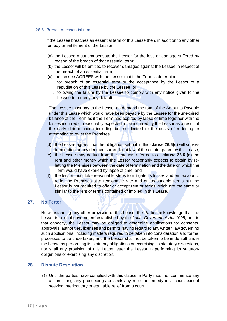#### <span id="page-31-0"></span>26.6 Breach of essential terms

If the Lessee breaches an essential term of this Lease then, in addition to any other remedy or entitlement of the Lessor:

- (a) the Lessee must compensate the Lessor for the loss or damage suffered by reason of the breach of that essential term;
- (b) the Lessor will be entitled to recover damages against the Lessee in respect of the breach of an essential term;
- (c) the Lessee AGREES with the Lessor that if the Term is determined:
	- i. for breach of an essential term or the acceptance by the Lessor of a repudiation of this Lease by the Lessee; or
	- ii. following the failure by the Lessee to comply with any notice given to the Lessee to remedy any default,

The Lessee must pay to the Lessor on demand the total of the Amounts Payable under this Lease which would have been payable by the Lessee for the unexpired balance of the Term as if the Term had expired by lapse of time together with the losses incurred or reasonably expected to be incurred by the Lessor as a result of the early determination including but not limited to the costs of re-letting or attempting to re-let the Premises.

- (d) the Lessee agrees that the obligation set out in this **clause 26.6(c)** will survive termination or any deemed surrender at law of the estate grated by this Lease;
- (e) the Lessee may deduct from the amounts referred to at **clause 26.6 (c)** the rent and other money which the Lessor reasonably expects to obtain by reletting the Premises between the date of termination and the date on which the Term would have expired by lapse of time; and
- (f) the lessor must take reasonable steps to mitigate its losses and endeavour to re-let the Premises at a reasonable rate and on reasonable terms but the Lessor is not required to offer or accept rent or terms which are the same or similar to the rent or terms contained or implied in this Lease.

# <span id="page-31-1"></span>**27. No Fetter**

Notwithstanding any other provision of this Lease, the Parties acknowledge that the Lessor is a local government established by the *Local Government Act 1995*, and in that capacity, the Lessor may be obliged to determine applications for consents, approvals, authorities, licenses and permits having regard to any written law governing such applications, including matters required to be taken into consideration and formal processes to be undertaken, and the Lessor shall not be taken to be in default under the Lease by performing its statutory obligations or exercising its statutory discretions, nor shall any provision of this Lease fetter the Lessor in performing its statutory obligations or exercising any discretion.

# <span id="page-31-2"></span>**28. Dispute Resolution**

(1) Until the parties have complied with this clause, a Party must not commence any action, bring any proceedings or seek any relief or remedy in a court, except seeking interlocutory or equitable relief from a court.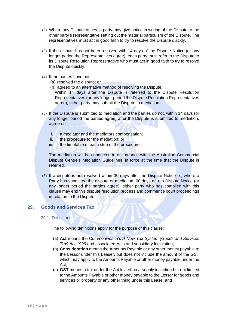- (2) Where any Dispute arises, a party may give notice in writing of the Dispute to the other party's representative setting out the material particulars of the Dispute. The representatives must act in good faith to try to resolve the Dispute quickly.
- (3) If the dispute has not been resolved with 14 days of the Dispute Notice (or any longer period the Representatives agree), each party must refer to the Dispute to its Dispute Resolution Representative who must act in good faith to try to resolve the Dispute quickly.
- (4) If the parties have not:
	- (a) resolved the dispute; or
	- (b) agreed to an alternative method of resolving the Dispute,

Within 14 days after the Dispute is referred to the Dispute Resolution Representatives (or any longer period the Dispute Resolution Representatives agree), either party may submit the Dispute to mediation.

- (5) If the Dispute is submitted to mediation and the parties do not, within 14 days (or any longer period the parties agree) after the Dispute is submitted to mediation, agree on:
	- i. a mediator and the mediators compensation;
	- ii. the procedure for the mediation: or
	- iii. the timetable of each step of the procedure,

The mediation will be conducted in accordance with the Australian Commercial Dispute Centre's Mediation Guidelines' in force at the time that the Dispute is referred.

(6) If a dispute is not resolved within 30 days after the Dispute Notice or, where a Party has submitted the dispute or mediation, 60 days aft eth Dispute Notice (or any longer period the parties agree), either party who has complied with this clause may end this dispute resolution process and commence court proceedings in relation to the Dispute.

# <span id="page-32-1"></span><span id="page-32-0"></span>**29. Goods and Services Tax**

#### 29.1 Definitions

The following definitions apply for the purpose of this clause:

- (a) **Act** means the Commonwealth's *A New Tax System (Goods and Services Tax) Act 1999* and associated Acts and subsidiary legislation;
- (b) **Consideration** means the Amounts Payable or any other money payable to the Lessor under this Leaser, but does not include the amount of the GST which may apply to the Amounts Payable or other money payable under the Act;
- (c) **GST** means a tax under the Act levied on a supply including but not limited to the Amounts Payable or other money payable to the Lessor for goods and services or property or any other thing under this Lease; and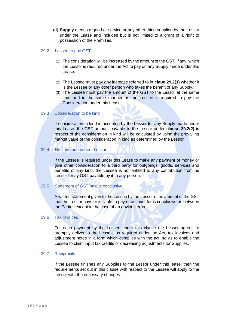(d) **Supply** means a good or service or any other thing supplied by the Lessor under the Lease and includes but is not limited to a grant of a right to possession of the Premises.

#### <span id="page-33-0"></span>29.2 Lessee to pay GST

- (1) The consideration will be increased by the amount of the GST, if any, which the Lessor is required under the Act to pay on any Supply made under this Lease.
- (2) The Lessee must pay any increase referred to in **claue 29.2(1)** whether it is the Lessee or any other person who takes the benefit of any Supply.
- (3) The Lessee must pay the amount of the GST to the Lessor at the same time and in the same manner as the Lessee is required to pay the Consideration under this Lease.

#### <span id="page-33-1"></span>29.3 Consideration to be kind

If consideration in kind is accepted by the Lessor for any Supply made under this Lease, the GST amount payable to the Lessor under **clause 29.2(2)** in respect of the consideration in kind will be calculated by using the prevailing market value of the consideration in kind as determined by the Lessor.

## <span id="page-33-2"></span>29.4 No contribution from Lessor

If the Lessee is required under this Lease to make any payment of money or give other consideration to a third party for outgoings, goods, services and benefits of any kind, the Lessee is not entitled to any contribution from he Lessor for ay GST payable by it to any person.

# <span id="page-33-3"></span>29.5 Statement of GST paid is conclusive

A written statement given to the Lessee by the Lessor of an amount of the GST that the Lessor pays or is liable to pay or account for is conclusive as between the Parties except in the case of an obvious error.

#### <span id="page-33-4"></span>29.6 Tax Invoices

For each payment by the Lessee under this clause the Lessor agrees to promptly deliver to the Lessee, as required under the Act, tax invoices and adjustment notes in a form which complies with the act, so as to enable the Lessee to claim input tax credits or decreasing adjustments for Supplies.

#### <span id="page-33-5"></span>29.7 Reciprocity

If the Lessee finishes any Supplies to the Lessor under this lease, then the requirements set out in this clause with respect to the Lessee will apply to the Lessor with the necessary changes.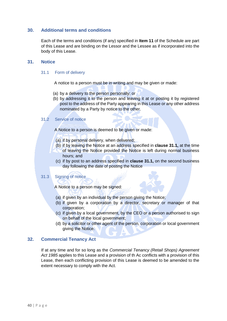# <span id="page-34-0"></span>**30. Additional terms and conditions**

Each of the terms and conditions (if any) specified in **Item 11** of the Schedule are part of this Lease and are binding on the Lessor and the Lessee as if incorporated into the body of this Lease.

# <span id="page-34-2"></span><span id="page-34-1"></span>**31. Notice**

#### 31.1 Form of delivery

A notice to a person must be in writing and may be given or made:

- (a) by a delivery to the person personally; or
- (b) by addressing it to the person and leaving it at or posting it by registered post to the address of the Party appearing in this Lease or any other address nominated by a Party by notice to the other.

# <span id="page-34-3"></span>31.2 Service of notice

A Notice to a person is deemed to be given or made:

- (a) if by personal delivery, when delivered;
- (b) if by leaving the Notice at an address specified in **clause 31.1,** at the time of leaving the Notice provided the Notice is left during normal business hours; and
- (c) if by post to an address specified in **clause 31.1,** on the second business day following the date of posting the Notice

#### <span id="page-34-4"></span>31.3 Signing of notice

A Notice to a person may be signed:

- (a) if given by an individual by the person giving the Notice;
- (b) if given by a corporation by a director, secretary or manager of that corporation;
- (c) if given by a local government, by the CEO or a person authorised to sign on behalf of the local government;
- (d) by a solicitor or other agent of the person, corporation or local government giving the Notice.

# <span id="page-34-5"></span>**32. Commercial Tenancy Act**

If at any time and for so long as the *Commercial Tenancy (Retail Shops) Agreement Act 1985* applies to this Lease and a provision of th Ac conflicts with a provision of this Lease, then each conflicting provision of this Lease is deemed to be amended to the extent necessary to comply with the Act.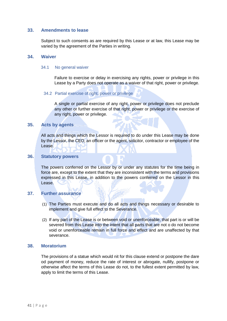# <span id="page-35-0"></span>**33. Amendments to lease**

Subject to such consents as are required by this Lease or at law, this Lease may be varied by the agreement of the Parties in writing.

# <span id="page-35-2"></span><span id="page-35-1"></span>**34. Waiver**

#### 34.1 No general waiver

Failure to exercise or delay in exercising any rights, power or privilege in this Lease by a Party does not operate as a waiver of that right, power or privilege.

## <span id="page-35-3"></span>34.2 Partial exercise of right, power or privilege

A single or partial exercise of any right, power or privilege does not preclude any other or further exercise of that right, power or privilege or the exercise of any right, power or privilege.

## <span id="page-35-4"></span>**35. Acts by agents**

All acts and things which the Lessor is required to do under this Lease may be done by the Lessor, the CEO, an officer or the agent, solicitor, contractor or employee of the Lease.

# <span id="page-35-5"></span>**36. Statutory powers**

The powers conferred on the Lessor by or under any statutes for the time being in force are, except to the extent that they are inconsistent with the terms and provisions expressed in this Lease, in addition to the powers conferred on the Lessor in this Lease.

# <span id="page-35-6"></span>**37. Further assurance**

- (1) The Parties must execute and do all acts and things necessary or desirable to implement and give full effect to the Severance.
- (2) If any part of the Lease is or between void or unenforceable, that part is or will be severed from this Lease into the intent that all parts that are not o do not become void or unenforceable remain in full force and effect and are unaffected by that severance.

# <span id="page-35-7"></span>**38. Moratorium**

The provisions of a statue which would nit for this clause extend or postpone the dare od payment of money, reduce the rate of interest or abrogate, nullify, postpone or otherwise affect the terms of this Lease do not, to the fullest extent permitted by law, apply to limit the terms of this Lease.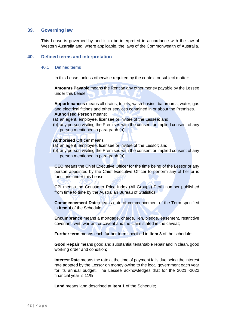#### <span id="page-36-0"></span>**39. Governing law**

This Lease is governed by and is to be interpreted in accordance with the law of Western Australia and, where applicable, the laws of the Commonwealth of Australia.

#### <span id="page-36-2"></span><span id="page-36-1"></span>**40. Defined terms and interpretation**

# 40.1 Defined terms

In this Lease, unless otherwise required by the context or subject matter:

**Amounts Payable** means the Rent an any other money payable by the Lessee under this Lease;

**Appurtenances** means all drains, toilets, wash basins, bathrooms, water, gas and electrical fittings and other services contained in or about the Premises. **Authorised Person** means:

- (a) an agent, employee, licensee or invitee of the Lessee; and
- (b) any person visiting the Premises with the consent or implied consent of any person mentioned in paragraph (a);

## **Authorised Officer** means

- (a) an agent, employee, licensee or invitee of the Lessor; and
- (b) any person visiting the Premises with the consent or implied consent of any person mentioned in paragraph (a);

**CEO** means the Chief Executive Officer for the time being of the Lessor or any person appointed by the Chief Executive Officer to perform any of her or is functions under this Lease;

**CPI** means the Consumer Price Index (All Groups) Perth number published from time to time by the Australian Bureau of Statistics;

**Commencement Date** means date of commencement of the Term specified in **Item 4** of the Schedule;

**Encumbrance** means a mortgage, charge, lien, pledge, easement, restrictive covenant, writ, warrant or caveat and the claim stated in the caveat;

**Further term** means each further term specified in **Item 3** of the schedule;

**Good Repair** means good and substantial tenantable repair and in clean, good working order and condition;

**Interest Rate** means the rate at the time of payment falls due being the interest rate adopted by the Lessor on money owing to the local government each year for its annual budget. The Lessee acknowledges that for the 2021 -2022 financial year is 11%

**Land** means land described at **Item 1** of the Schedule;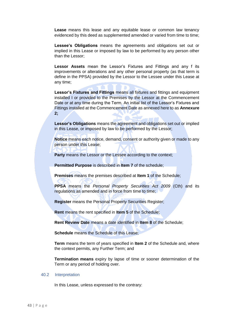**Lease** means this lease and any equitable lease or common law tenancy evidenced by this deed as supplemented amended or varied from time to time;

**Lessee's Obligations** means the agreements and obligations set out or implied in this Lease or imposed by law to be performed by any person other than the Lessor;

**Lessor Assets** mean the Lessor's Fixtures and Fittings and any f its improvements or alterations and any other personal property (as that term is define in the PPSA) provided by the Lessor to the Lessee under this Lease at any time;

**Lessor's Fixtures and Fittings** means all fixtures and fittings and equipment installed I or provided to the Premises by the Lessor at the Commencement Date or at any time during the Term. An initial list of the Lessor's Fixtures and Fittings installed at the Commencement Date as annexed here to as **Annexure 2;**

**Lessor's Obligations** means the agreement and obligations set out or implied in this Lease, or imposed by law to be performed by the Lessor;

**Notice** means each notice, demand, consent or authority given or made to any person under this Lease;

**Party** means the Lessor or the Lessee according to the context;

**Permitted Purpose** is described in **Item 7** of the schedule;

**Premises** means the premises described at **Item 1** of the Schedule;

**PPSA** means the *Personal Property Securities Act 2009* (Cth) and its regulations as amended and in force from time to time;

**Register** means the Personal Property Securities Register;

**Rent** means the rent specified in **Item 5** of the Schedule;

**Rent Review Date** means a date identified in **Item 8** of the Schedule;

**Schedule** means the Schedule of this Lease;

**Term** means the term of years specified in **Item 2** of the Schedule and, where the context permits, any Further Term; and

**Termination means** expiry by lapse of time or sooner determination of the Term or any period of holding over.

#### <span id="page-37-0"></span>40.2 Interpretation

In this Lease, unless expressed to the contrary: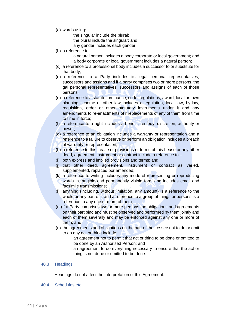- (a) words using:
	- i. the singular include the plural;
	- ii. the plural include the singular; and
	- iii. any gender includes each gender.
- (b) a reference to:
	- i. a natural person includes a body corporate or local government; and
	- ii. a body corporate or local government includes a natural person;
- (c) a reference to a professional body includes a successor to or substitute for that body;
- (d) a reference to a Party includes its legal personal representatives, successors and assigns and if a party comprises two or more persons, the gal personal representatives, successors and assigns of each of those persons;
- (e) a reference to a statute, ordinance, code, regulations, award, local or town planning scheme or other law includes a regulation, local law, by-law, requisition, order or other statutory instruments under it and any amendments to re-enactments of r replacements of any of them from time to time in force;
- (f) a reference to a right includes a benefit, remedy, discretion, authority or power;
- (g) a reference to an obligation includes a warranty or representation and a reference to a failure to observe or perform an obligation includes a breach of warranty or representation;
- (h) a reference to this Lease or provisions or terms of this Lease or any other deed, agreement, instrument or contract include a reference to –
- (i) both express and implied provisions and terms; and
- (j) that other deed, agreement, instrument or contract as varied, supplemented, replaced por amended;
- (k) a reference to writing includes any mode of representing or reproducing words in tangible and permanently visible form and includes email and facsimile transmissions;
- (l) anything (including, without limitation, any amount) is a reference to the whole or any part of it and a reference to a group of things or persons is a reference to any one or more of them;
- (m)if a Party comprises two or more persons the obligations and agreements on their part bind and must be observed and performed by them jointly and each of them severally and may be enforced against any one or more of them; and
- (n) the agreements and obligations on the part of the Lessee not to do or omit to do any act or thing include:
	- i. an agreement not to permit that act or thing to be done or omitted to be done by an Authorised Person; and
	- ii. an agreement to do everything necessary to ensure that the act or thing is not done or omitted to be done.

#### <span id="page-38-0"></span>40.3 Headings

Headings do not affect the interpretation of this Agreement.

<span id="page-38-1"></span>40.4 Schedules etc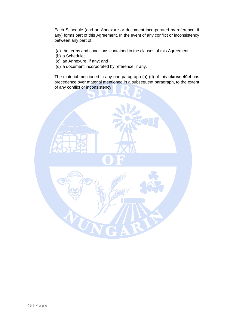Each Schedule (and an Annexure or document incorporated by reference, if any) forms part of this Agreement. In the event of any conflict or inconsistency between any part of:

- (a) the terms and conditions contained in the clauses of this Agreement;
- (b) a Schedule;
- (c) an Annexure, if any; and
- (d) a document incorporated by reference, if any,

The material mentioned in any one paragraph (a)-(d) of this **clause 40.4** has precedence over material mentioned in a subsequent paragraph, to the extent of any conflict or inconsistency.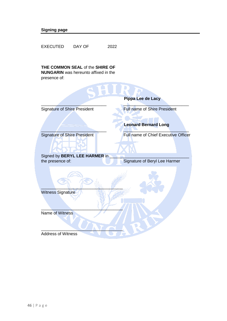# **Signing page**

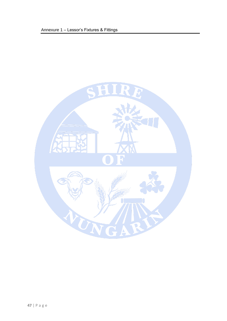